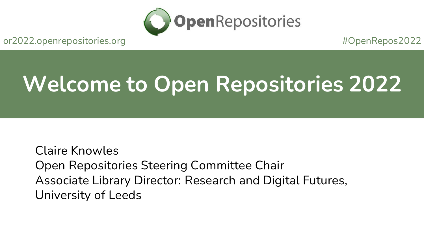

## **Welcome to Open Repositories 2022**

Claire Knowles Open Repositories Steering Committee Chair Associate Library Director: Research and Digital Futures, University of Leeds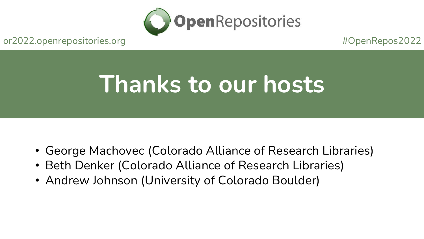

## **Thanks to our hosts**

- George Machovec (Colorado Alliance of Research Libraries)
- Beth Denker (Colorado Alliance of Research Libraries)
- Andrew Johnson (University of Colorado Boulder)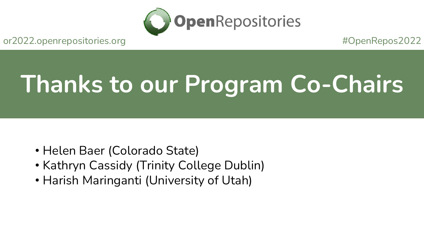

# **Thanks to our Program Co-Chairs**

- Helen Baer (Colorado State)
- Kathryn Cassidy (Trinity College Dublin)
- Harish Maringanti (University of Utah)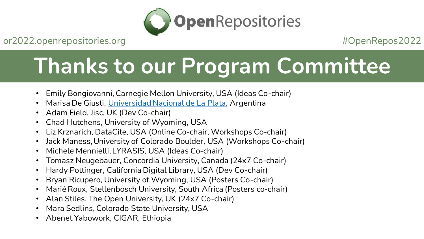

## **Thanks to our Program Committee**

- Emily Bongiovanni, Carnegie Mellon University, USA (Ideas Co-chair)
- Marisa De Giusti, [Universidad Nacional de La Plata,](https://www.researchgate.net/institution/Universidad_Nacional_de_La_Plata) Argentina
- Adam Field, Jisc, UK (Dev Co-chair)
- Chad Hutchens, University of Wyoming, USA
- Liz Krznarich, DataCite, USA (Online Co-chair, Workshops Co-chair)
- Jack Maness, University of Colorado Boulder, USA (Workshops Co-chair)
- Michele Mennielli, LYRASIS, USA (Ideas Co-chair)
- Tomasz Neugebauer, Concordia University, Canada (24x7 Co-chair)
- Hardy Pottinger, California Digital Library, USA (Dev Co-chair)
- Bryan Ricupero, University of Wyoming, USA (Posters Co-chair)
- Marié Roux, Stellenbosch University, South Africa (Posters co-chair)
- Alan Stiles, The Open University, UK (24x7 Co-chair)
- Mara Sedlins, Colorado State University, USA
- Abenet Yabowork, CIGAR, Ethiopia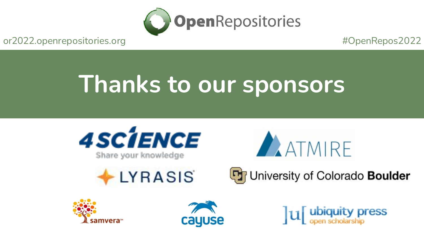

## **Thanks to our sponsors**



Share your knowledge











 $\left[\begin{matrix}1\\1\end{matrix}\right]$  ubiquity press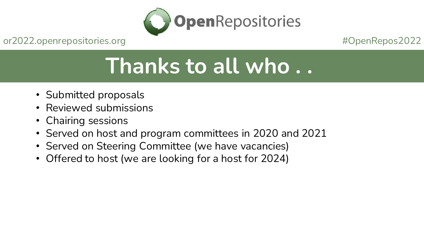

#### **Thanks to all who . .**

- Submitted proposals
- Reviewed submissions
- Chairing sessions
- Served on host and program committees in 2020 and 2021
- Served on Steering Committee (we have vacancies)
- Offered to host (we are looking for a host for 2024)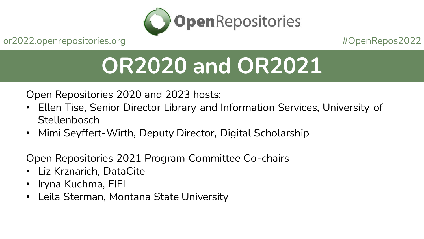

## **OR2020 and OR2021**

Open Repositories 2020 and 2023 hosts:

- Ellen Tise, Senior Director Library and Information Services, University of **Stellenbosch**
- Mimi Seyffert-Wirth, Deputy Director, Digital Scholarship

Open Repositories 2021 Program Committee Co-chairs

- Liz Krznarich, DataCite
- Iryna Kuchma, EIFL
- Leila Sterman, Montana State University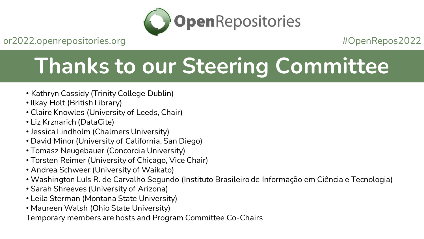

### **Thanks to our Steering Committee**

- Kathryn Cassidy (Trinity College Dublin)
- Ilkay Holt (British Library)
- Claire Knowles (University of Leeds, Chair)
- Liz Krznarich (DataCite)
- Jessica Lindholm (Chalmers University)
- David Minor (University of California, San Diego)
- Tomasz Neugebauer (Concordia University)
- Torsten Reimer (University of Chicago, Vice Chair)
- Andrea Schweer (University of Waikato)
- Washington Luís R. de Carvalho Segundo (Instituto Brasileiro de Informação em Ciência e Tecnologia)
- Sarah Shreeves (University of Arizona)
- Leila Sterman (Montana State University)
- Maureen Walsh (Ohio State University)

Temporary members are hosts and Program Committee Co-Chairs